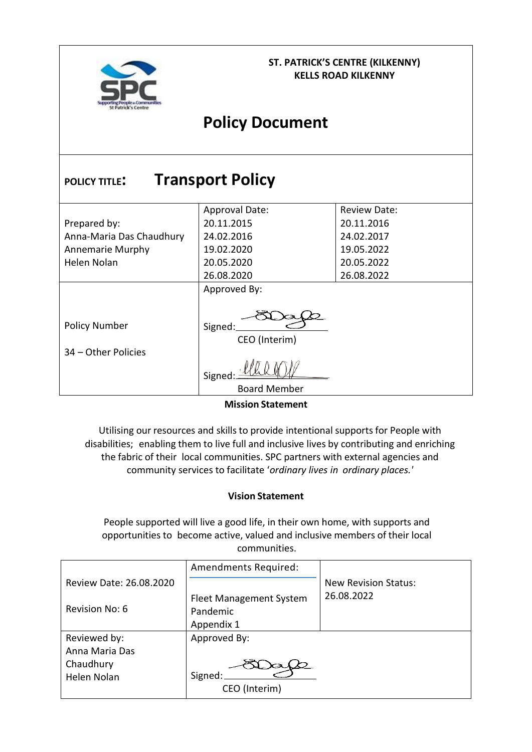

#### **ST. PATRICK'S CENTRE (KILKENNY) KELLS ROAD KILKENNY**

# **Policy Document**

| <b>Transport Policy</b><br><b>POLICY TITLE:</b> |                       |                     |  |  |  |  |  |
|-------------------------------------------------|-----------------------|---------------------|--|--|--|--|--|
|                                                 | <b>Approval Date:</b> | <b>Review Date:</b> |  |  |  |  |  |
| Prepared by:                                    | 20.11.2015            | 20.11.2016          |  |  |  |  |  |
| Anna-Maria Das Chaudhury                        | 24.02.2016            | 24.02.2017          |  |  |  |  |  |
| <b>Annemarie Murphy</b>                         | 19.02.2020            | 19.05.2022          |  |  |  |  |  |
| Helen Nolan                                     | 20.05.2020            | 20.05.2022          |  |  |  |  |  |
|                                                 | 26.08.2020            | 26.08.2022          |  |  |  |  |  |
|                                                 | Approved By:          |                     |  |  |  |  |  |
| <b>Policy Number</b>                            | Signed:               |                     |  |  |  |  |  |
|                                                 | CEO (Interim)         |                     |  |  |  |  |  |
| 34 - Other Policies                             |                       |                     |  |  |  |  |  |
|                                                 | Signed                |                     |  |  |  |  |  |
|                                                 | <b>Board Member</b>   |                     |  |  |  |  |  |

**Mission Statement**

<span id="page-0-0"></span>Utilising our resources and skills to provide intentional supports for People with disabilities; enabling them to live full and inclusive lives by contributing and enriching the fabric of their local communities. SPC partners with external agencies and community services to facilitate '*ordinary lives in ordinary places.'*

#### **Vision Statement**

<span id="page-0-1"></span>People supported will live a good life, in their own home, with supports and opportunities to become active, valued and inclusive members of their local communities.

|                         | Amendments Required:    |                             |
|-------------------------|-------------------------|-----------------------------|
| Review Date: 26.08.2020 |                         | <b>New Revision Status:</b> |
|                         | Fleet Management System | 26.08.2022                  |
| Revision No: 6          | Pandemic                |                             |
|                         | Appendix 1              |                             |
| Reviewed by:            | Approved By:            |                             |
| Anna Maria Das          |                         |                             |
| Chaudhury               |                         |                             |
| Helen Nolan             | Signed:                 |                             |
|                         | CEO (Interim)           |                             |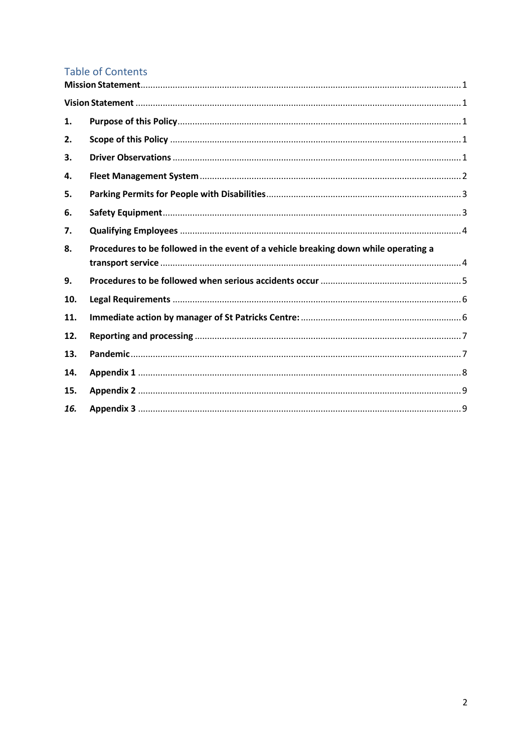# **Table of Contents**

| 1.  |                                                                                     |
|-----|-------------------------------------------------------------------------------------|
| 2.  |                                                                                     |
| 3.  |                                                                                     |
| 4.  |                                                                                     |
| 5.  |                                                                                     |
| 6.  |                                                                                     |
| 7.  |                                                                                     |
| 8.  | Procedures to be followed in the event of a vehicle breaking down while operating a |
|     |                                                                                     |
| 9.  |                                                                                     |
| 10. |                                                                                     |
| 11. |                                                                                     |
| 12. |                                                                                     |
| 13. |                                                                                     |
| 14. |                                                                                     |
| 15. |                                                                                     |
| 16. |                                                                                     |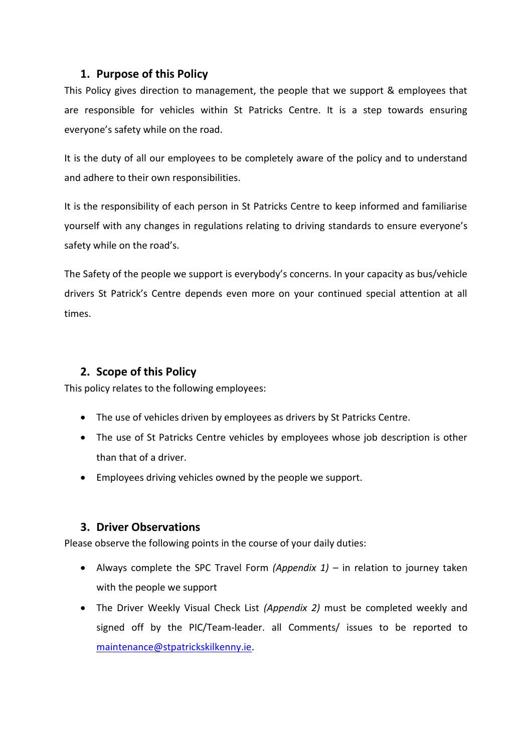### <span id="page-2-0"></span>**1. Purpose of this Policy**

This Policy gives direction to management, the people that we support & employees that are responsible for vehicles within St Patricks Centre. It is a step towards ensuring everyone's safety while on the road.

It is the duty of all our employees to be completely aware of the policy and to understand and adhere to their own responsibilities.

It is the responsibility of each person in St Patricks Centre to keep informed and familiarise yourself with any changes in regulations relating to driving standards to ensure everyone's safety while on the road's.

The Safety of the people we support is everybody's concerns. In your capacity as bus/vehicle drivers St Patrick's Centre depends even more on your continued special attention at all times.

# <span id="page-2-1"></span>**2. Scope of this Policy**

This policy relates to the following employees:

- The use of vehicles driven by employees as drivers by St Patricks Centre.
- The use of St Patricks Centre vehicles by employees whose job description is other than that of a driver.
- Employees driving vehicles owned by the people we support.

# <span id="page-2-2"></span>**3. Driver Observations**

Please observe the following points in the course of your daily duties:

- Always complete the SPC Travel Form *(Appendix 1)* in relation to journey taken with the people we support
- The Driver Weekly Visual Check List *(Appendix 2)* must be completed weekly and signed off by the PIC/Team-leader. all Comments/ issues to be reported to [maintenance@stpatrickskilkenny.ie.](mailto:maintenance@stpatrickskilkenny.ie)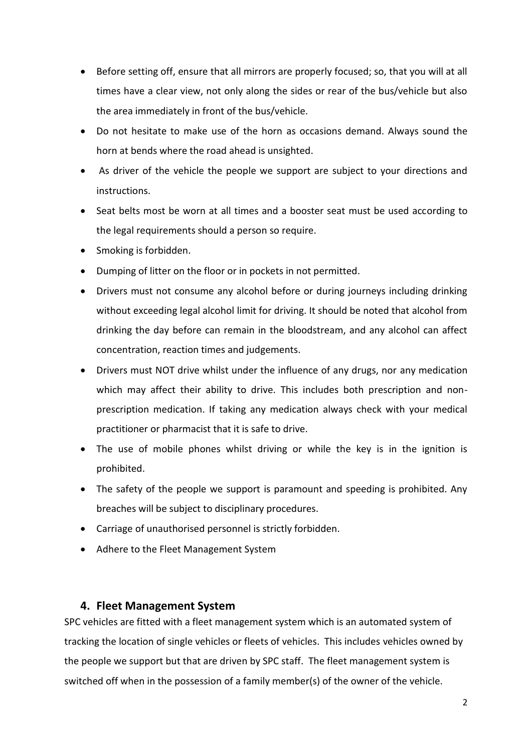- Before setting off, ensure that all mirrors are properly focused; so, that you will at all times have a clear view, not only along the sides or rear of the bus/vehicle but also the area immediately in front of the bus/vehicle.
- Do not hesitate to make use of the horn as occasions demand. Always sound the horn at bends where the road ahead is unsighted.
- As driver of the vehicle the people we support are subject to your directions and instructions.
- Seat belts most be worn at all times and a booster seat must be used according to the legal requirements should a person so require.
- Smoking is forbidden.
- Dumping of litter on the floor or in pockets in not permitted.
- Drivers must not consume any alcohol before or during journeys including drinking without exceeding legal alcohol limit for driving. It should be noted that alcohol from drinking the day before can remain in the bloodstream, and any alcohol can affect concentration, reaction times and judgements.
- Drivers must NOT drive whilst under the influence of any drugs, nor any medication which may affect their ability to drive. This includes both prescription and nonprescription medication. If taking any medication always check with your medical practitioner or pharmacist that it is safe to drive.
- The use of mobile phones whilst driving or while the key is in the ignition is prohibited.
- The safety of the people we support is paramount and speeding is prohibited. Any breaches will be subject to disciplinary procedures.
- Carriage of unauthorised personnel is strictly forbidden.
- Adhere to the Fleet Management System

# <span id="page-3-0"></span>**4. Fleet Management System**

SPC vehicles are fitted with a fleet management system which is an automated system of tracking the location of single vehicles or fleets of vehicles. This includes vehicles owned by the people we support but that are driven by SPC staff. The fleet management system is switched off when in the possession of a family member(s) of the owner of the vehicle.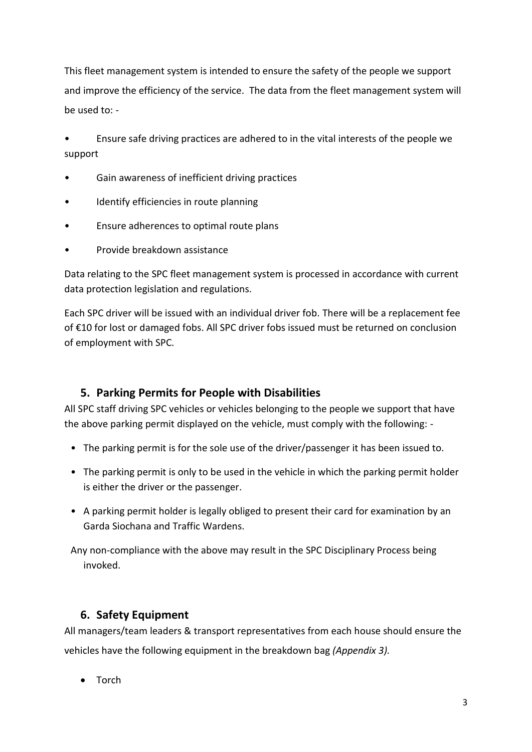This fleet management system is intended to ensure the safety of the people we support and improve the efficiency of the service. The data from the fleet management system will be used to: -

• Ensure safe driving practices are adhered to in the vital interests of the people we support

- Gain awareness of inefficient driving practices
- Identify efficiencies in route planning
- Ensure adherences to optimal route plans
- Provide breakdown assistance

Data relating to the SPC fleet management system is processed in accordance with current data protection legislation and regulations.

Each SPC driver will be issued with an individual driver fob. There will be a replacement fee of €10 for lost or damaged fobs. All SPC driver fobs issued must be returned on conclusion of employment with SPC.

# <span id="page-4-0"></span>**5. Parking Permits for People with Disabilities**

All SPC staff driving SPC vehicles or vehicles belonging to the people we support that have the above parking permit displayed on the vehicle, must comply with the following: -

- The parking permit is for the sole use of the driver/passenger it has been issued to.
- The parking permit is only to be used in the vehicle in which the parking permit holder is either the driver or the passenger.
- A parking permit holder is legally obliged to present their card for examination by an Garda Siochana and Traffic Wardens.

Any non-compliance with the above may result in the SPC Disciplinary Process being invoked.

# <span id="page-4-1"></span>**6. Safety Equipment**

All managers/team leaders & transport representatives from each house should ensure the vehicles have the following equipment in the breakdown bag *(Appendix 3).*

• Torch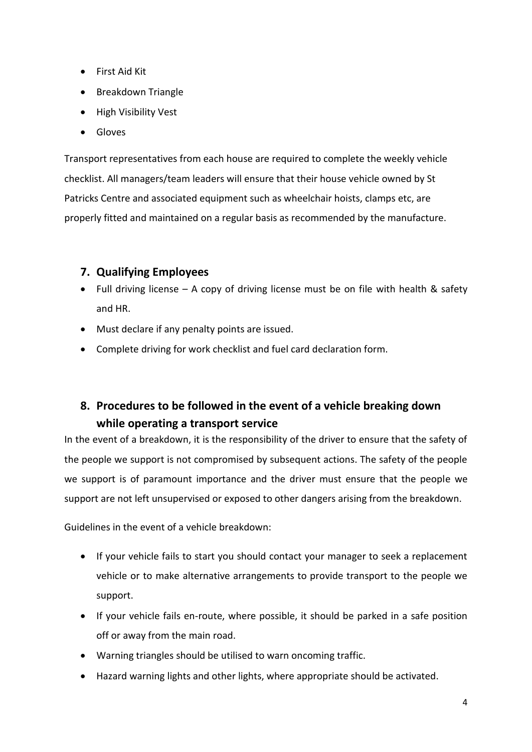- First Aid Kit
- Breakdown Triangle
- High Visibility Vest
- Gloves

Transport representatives from each house are required to complete the weekly vehicle checklist. All managers/team leaders will ensure that their house vehicle owned by St Patricks Centre and associated equipment such as wheelchair hoists, clamps etc, are properly fitted and maintained on a regular basis as recommended by the manufacture.

# <span id="page-5-0"></span>**7. Qualifying Employees**

- Full driving license  $-$  A copy of driving license must be on file with health & safety and HR.
- Must declare if any penalty points are issued.
- Complete driving for work checklist and fuel card declaration form.

# <span id="page-5-1"></span>**8. Procedures to be followed in the event of a vehicle breaking down while operating a transport service**

In the event of a breakdown, it is the responsibility of the driver to ensure that the safety of the people we support is not compromised by subsequent actions. The safety of the people we support is of paramount importance and the driver must ensure that the people we support are not left unsupervised or exposed to other dangers arising from the breakdown.

Guidelines in the event of a vehicle breakdown:

- If your vehicle fails to start you should contact your manager to seek a replacement vehicle or to make alternative arrangements to provide transport to the people we support.
- If your vehicle fails en-route, where possible, it should be parked in a safe position off or away from the main road.
- Warning triangles should be utilised to warn oncoming traffic.
- Hazard warning lights and other lights, where appropriate should be activated.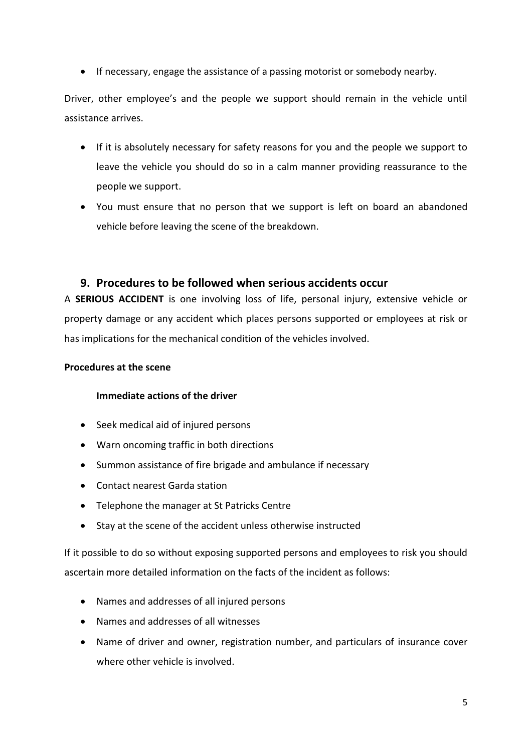• If necessary, engage the assistance of a passing motorist or somebody nearby.

Driver, other employee's and the people we support should remain in the vehicle until assistance arrives.

- If it is absolutely necessary for safety reasons for you and the people we support to leave the vehicle you should do so in a calm manner providing reassurance to the people we support.
- You must ensure that no person that we support is left on board an abandoned vehicle before leaving the scene of the breakdown.

#### <span id="page-6-0"></span>**9. Procedures to be followed when serious accidents occur**

A **SERIOUS ACCIDENT** is one involving loss of life, personal injury, extensive vehicle or property damage or any accident which places persons supported or employees at risk or has implications for the mechanical condition of the vehicles involved.

#### **Procedures at the scene**

#### **Immediate actions of the driver**

- Seek medical aid of injured persons
- Warn oncoming traffic in both directions
- Summon assistance of fire brigade and ambulance if necessary
- Contact nearest Garda station
- Telephone the manager at St Patricks Centre
- Stay at the scene of the accident unless otherwise instructed

If it possible to do so without exposing supported persons and employees to risk you should ascertain more detailed information on the facts of the incident as follows:

- Names and addresses of all injured persons
- Names and addresses of all witnesses
- Name of driver and owner, registration number, and particulars of insurance cover where other vehicle is involved.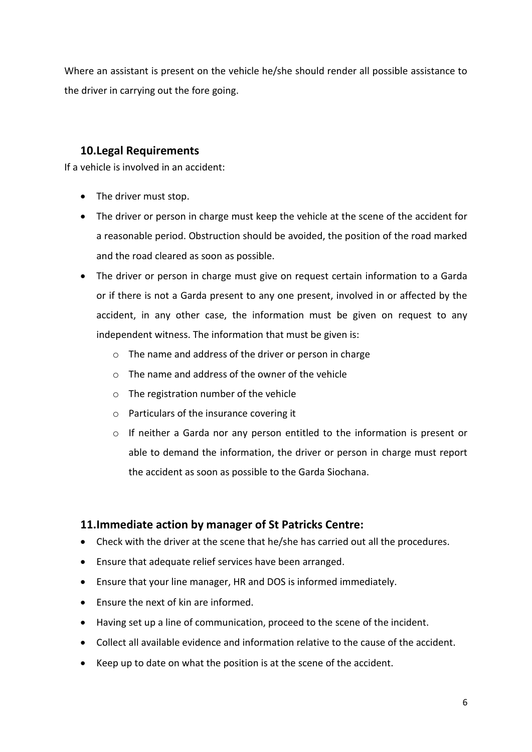Where an assistant is present on the vehicle he/she should render all possible assistance to the driver in carrying out the fore going.

# <span id="page-7-0"></span>**10.Legal Requirements**

If a vehicle is involved in an accident:

- The driver must stop.
- The driver or person in charge must keep the vehicle at the scene of the accident for a reasonable period. Obstruction should be avoided, the position of the road marked and the road cleared as soon as possible.
- The driver or person in charge must give on request certain information to a Garda or if there is not a Garda present to any one present, involved in or affected by the accident, in any other case, the information must be given on request to any independent witness. The information that must be given is:
	- o The name and address of the driver or person in charge
	- $\circ$  The name and address of the owner of the vehicle
	- o The registration number of the vehicle
	- o Particulars of the insurance covering it
	- o If neither a Garda nor any person entitled to the information is present or able to demand the information, the driver or person in charge must report the accident as soon as possible to the Garda Siochana.

# <span id="page-7-1"></span>**11.Immediate action by manager of St Patricks Centre:**

- Check with the driver at the scene that he/she has carried out all the procedures.
- Ensure that adequate relief services have been arranged.
- Ensure that your line manager, HR and DOS is informed immediately.
- Ensure the next of kin are informed.
- Having set up a line of communication, proceed to the scene of the incident.
- Collect all available evidence and information relative to the cause of the accident.
- Keep up to date on what the position is at the scene of the accident.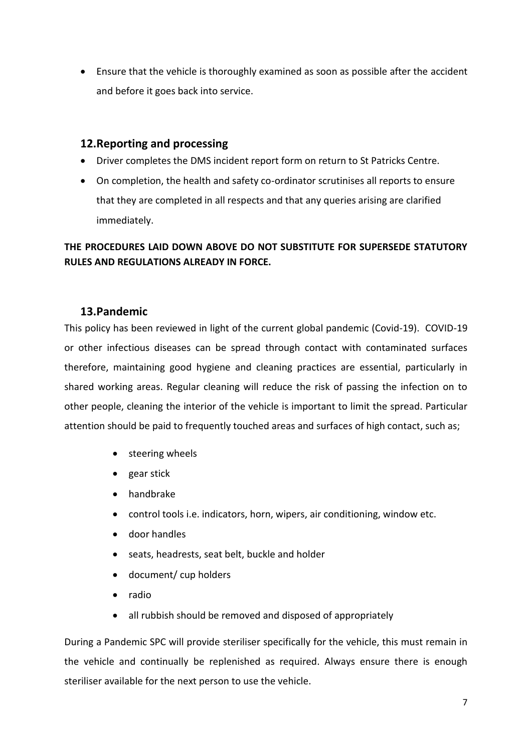• Ensure that the vehicle is thoroughly examined as soon as possible after the accident and before it goes back into service.

# <span id="page-8-0"></span>**12.Reporting and processing**

- Driver completes the DMS incident report form on return to St Patricks Centre.
- On completion, the health and safety co-ordinator scrutinises all reports to ensure that they are completed in all respects and that any queries arising are clarified immediately.

# **THE PROCEDURES LAID DOWN ABOVE DO NOT SUBSTITUTE FOR SUPERSEDE STATUTORY RULES AND REGULATIONS ALREADY IN FORCE.**

# <span id="page-8-1"></span>**13.Pandemic**

This policy has been reviewed in light of the current global pandemic (Covid-19). COVID-19 or other infectious diseases can be spread through contact with contaminated surfaces therefore, maintaining good hygiene and cleaning practices are essential, particularly in shared working areas. Regular cleaning will reduce the risk of passing the infection on to other people, cleaning the interior of the vehicle is important to limit the spread. Particular attention should be paid to frequently touched areas and surfaces of high contact, such as;

- steering wheels
- gear stick
- handbrake
- control tools i.e. indicators, horn, wipers, air conditioning, window etc.
- door handles
- seats, headrests, seat belt, buckle and holder
- document/ cup holders
- radio
- all rubbish should be removed and disposed of appropriately

During a Pandemic SPC will provide steriliser specifically for the vehicle, this must remain in the vehicle and continually be replenished as required. Always ensure there is enough steriliser available for the next person to use the vehicle.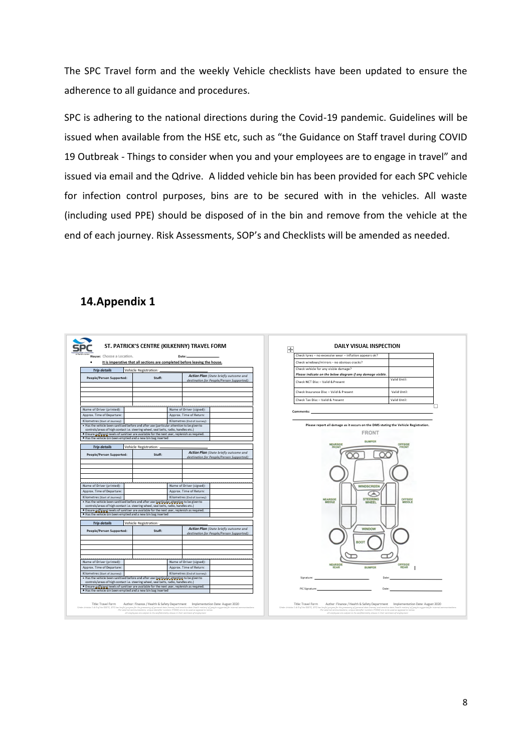The SPC Travel form and the weekly Vehicle checklists have been updated to ensure the adherence to all guidance and procedures.

SPC is adhering to the national directions during the Covid-19 pandemic. Guidelines will be issued when available from the HSE etc, such as "the Guidance on Staff travel during COVID 19 Outbreak - Things to consider when you and your employees are to engage in travel" and issued via email and the Qdrive. A lidded vehicle bin has been provided for each SPC vehicle for infection control purposes, bins are to be secured with in the vehicles. All waste (including used PPE) should be disposed of in the bin and remove from the vehicle at the end of each journey. Risk Assessments, SOP's and Checklists will be amended as needed.

# <span id="page-9-0"></span>**14.Appendix 1**